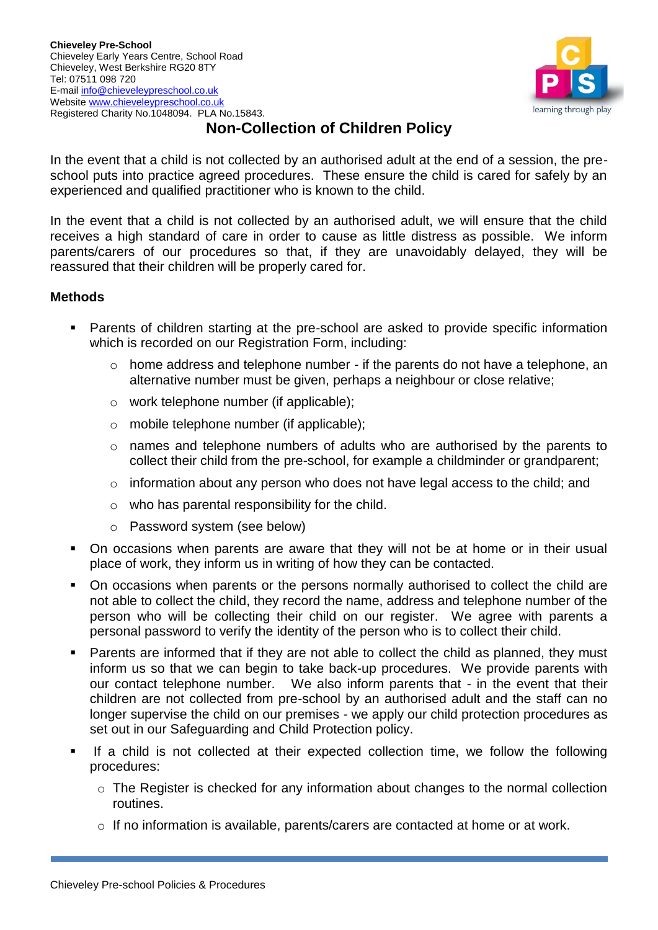

## **Non-Collection of Children Policy**

In the event that a child is not collected by an authorised adult at the end of a session, the preschool puts into practice agreed procedures. These ensure the child is cared for safely by an experienced and qualified practitioner who is known to the child.

In the event that a child is not collected by an authorised adult, we will ensure that the child receives a high standard of care in order to cause as little distress as possible. We inform parents/carers of our procedures so that, if they are unavoidably delayed, they will be reassured that their children will be properly cared for.

## **Methods**

- Parents of children starting at the pre-school are asked to provide specific information which is recorded on our Registration Form, including:
	- $\circ$  home address and telephone number if the parents do not have a telephone, an alternative number must be given, perhaps a neighbour or close relative;
	- o work telephone number (if applicable);
	- o mobile telephone number (if applicable);
	- o names and telephone numbers of adults who are authorised by the parents to collect their child from the pre-school, for example a childminder or grandparent;
	- o information about any person who does not have legal access to the child; and
	- $\circ$  who has parental responsibility for the child.
	- o Password system (see below)
- On occasions when parents are aware that they will not be at home or in their usual place of work, they inform us in writing of how they can be contacted.
- On occasions when parents or the persons normally authorised to collect the child are not able to collect the child, they record the name, address and telephone number of the person who will be collecting their child on our register. We agree with parents a personal password to verify the identity of the person who is to collect their child.
- Parents are informed that if they are not able to collect the child as planned, they must inform us so that we can begin to take back-up procedures. We provide parents with our contact telephone number. We also inform parents that - in the event that their children are not collected from pre-school by an authorised adult and the staff can no longer supervise the child on our premises - we apply our child protection procedures as set out in our Safeguarding and Child Protection policy.
- **■** If a child is not collected at their expected collection time, we follow the following procedures:
	- o The Register is checked for any information about changes to the normal collection routines.
	- $\circ$  If no information is available, parents/carers are contacted at home or at work.